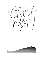

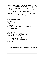

### **THE UNITED CHURCH OF CHRIST FIRST CONGREGATIONAL Norwich, New York 13815**



**An Open and Affirming Church**

**April 17, 2022 10:00 a.m.**

**Easter Sunday**

## *PREPARING TO WORSHIP GOD*

## **CHIMING OF THE HOUR**

## **PRELUDE**

*Fugue in C Major C Major C Major C Major C Major Puller <b>Dietrich Buxtehude* 

### **WELCOME**

(Please sign the attendance pad found in the pew.)

## **ANNOUNCEMENTS**

## *GATHERING*

## **CALL TO WORSHIP**

- ONE: Alleluia! Christ is risen!
- **ALL: Christ is risen, indeed! Alleluia!**
- ONE: This is the day that the Lord has made; let us rejoice and be glad in it. Alleluia! Christ is risen!
- **ALL: Christ is risen, indeed! Alleluia!**

## **INVOCATION**

\*Please stand if you are able.

# **Large Print Bulletins are available from the ushers.**

Permission to reprint, podcast, and / or stream the music in this service obtained from ONE LICENSE with license #735996-A. All rights reserved.

Prayers reprinted by permission of Westminster John Knox Press from *Feasting on the Word Worship Companion* © 2012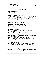### **\*OPENING HYMN**

**Christ the Lord is Risen Today 1233** (Tune: EASTER HYMN)

## *TIME OF SHARING*

### **CHILDREN'S MOMENT**

The Lord's Prayer

## **INCLUSIVE CHURCH PRAYER**

Lord of the dawn, revealed to women of courage and men of doubt: take us from the empty places where death holds power to the rising of your love as light for all the world; in Jesus Christ, the Resurrection and the Life. Amen.

## **TEACHING THE WAY OF JESUS**

## **PASTORAL BLESSING OF PEACE**

ONE: May the Peace of Jesus Christ be with you.

### **ALL: And also with you.**

## **OFFERTORY PLEDGE**

- ONE: We love God with all our heart, soul, mind, and strength.
- **ALL: We pledge our whole selves to God.**
- ONE: We love our neighbors as ourselves.
- **ALL: We pledge to do justice as Christ's ambassadors of reconciliation.**
- ONE: We love one another as Jesus loves us.
- **ALL: We pledge to be and become Christ's Beloved Community in our life together.**
- ONE: We make disciples by teaching and modeling how to follow Jesus' Way of Love.
- **ALL: We pledge to be Jesus' disciples sharing Jesus' Way of Love in the way we live our lives and practice our faith.**

*We will not be passing the offering plates. Instead, they are located at both doors for your convenience as you enter or exit the Nave.*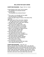## *WE LISTEN FOR GOD'S WORD*

### **SCRIPTURE READING** - Psalm 118:1-2; 14-24

- O give thanks to the LORD, for he is good;
	- his steadfast love endures forever!
- **2** Let Israel say,

"His steadfast love endures forever."

<sup>14</sup> The LORD is my strength and my might; he has become my salvation.

**<sup>15</sup>** There are glad songs of victory in the tents of the righteous:

- "The right hand of the LORD does valiantly;
- **16** the right hand of the LORD is exalted; the right hand of the LORD does valiantly."
- **<sup>17</sup>** I shall not die, but I shall live, and recount the deeds of the LORD.
- <sup>18</sup> The LORD has punished me severely, but he did not give me over to death.
- <sup>19</sup> Open to me the gates of righteousness, that I may enter through them and give thanks to the LORD.
- <sup>20</sup> This is the gate of the LORD; the righteous shall enter through it.
- **<sup>21</sup>** I thank you that you have answered me and have become my salvation.
- **<sup>22</sup>** The stone that the builders rejected has become the chief cornerstone.
- <sup>23</sup> This is the LORD's doing; it is marvelous in our eyes.
- <sup>24</sup> This is the day that the LORD has made; let us rejoice and be glad in it.

## **SCRIPTURE READING** - John 20:1-18

Early on the first day of the week, while it was still dark, Mary Magdalene came to the tomb and saw that the stone had been removed from the tomb. **<sup>2</sup>** So she ran and went to Simon Peter and the other disciple, the one whom Jesus loved, and said to them, "They have taken the Lord out of the tomb, and we do not know where they have laid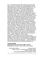him." **<sup>3</sup>** Then Peter and the other disciple set out and went toward the tomb. **<sup>4</sup>** The two were running together, but the other disciple outran Peter and reached the tomb first. **<sup>5</sup>** He bent down to look in and saw the linen wrappings lying there, but he did not go in. **<sup>6</sup>** Then Simon Peter came, following him, and went into the tomb. He saw the linen wrappings lying there, **<sup>7</sup>** and the cloth that had been on Jesus' head, not lying with the linen wrappings but rolled up in a place by itself. **<sup>8</sup>** Then the other disciple, who reached the tomb first, also went in, and he saw and believed; **<sup>9</sup>** for as yet they did not understand the scripture, that he must rise from the dead. **<sup>10</sup>** Then the disciples returned to their homes. **<sup>11</sup>**But Mary stood weeping outside the tomb. As she wept, she bent over to look into the tomb; **<sup>12</sup>** and she saw two angels in white, sitting where the body of Jesus had been lying, one at the head and the other at the feet. **<sup>13</sup>** They said to her, "Woman, why are you weeping?" She said to them, "They have taken away my Lord, and I do not know where they have laid him." **<sup>14</sup>** When she had said this, she turned around and saw Jesus standing there, but she did not know that it was Jesus. **<sup>15</sup>** Jesus said to her, "Woman, why are you weeping? Whom are you looking for?" Supposing him to be the gardener, she said to him, "Sir, if you have carried him away, tell me where you have laid him, and I will take him away." **<sup>16</sup>** Jesus said to her, "Mary!" She turned and said to him in Hebrew, "Rabbouni!" (which means Teacher). **<sup>17</sup>** Jesus said to her, "Do not hold on to me, because I have not yet ascended to the Father. But go to my brothers and say to them, 'I am ascending to my Father and your Father, to my God and your God.'" **<sup>18</sup>** Mary Magdalene went and announced to the disciples, "I have seen the Lord"; and she told them that he had said these things to her.

### **CHOIR ANTHEM**

### **Combined Choirs of Broad St. UMC and UCC**

Michael Moren, director; Jason Handy, accompanist.

*Resurrection Victory* **by Lloyd Larson**  Words by Cecil F. Alexander and Godfrey Thring. Music by Lloyd Larson incorporating DIADEMATA by George J. Elvey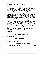## **SCRIPTURE READING** - Acts 10: 34-43

**<sup>34</sup>** Then Peter began to speak to them: "I truly understand that God shows no partiality, **<sup>35</sup>** but in every nation anyone who fears him and does what is right is acceptable to him. **<sup>36</sup>** You know the message he sent to the people of Israel, preaching peace by Jesus Christ—he is Lord of all. **<sup>37</sup>** That message spread throughout Judea, beginning in Galilee after the baptism that John announced: **<sup>38</sup>** how God anointed Jesus of Nazareth with the Holy Spirit and with power; how he went about doing good and healing all who were oppressed by the devil, for God was with him. **<sup>39</sup>** We are witnesses to all that he did both in Judea and in Jerusalem. They put him to death by hanging him on a tree; **<sup>40</sup>** but God raised him on the third day and allowed him to appear, **<sup>41</sup>** not to all the people but to us who were chosen by God as witnesses, and who ate and drank with him after he rose from the dead. **<sup>42</sup>** He commanded us to preach to the people and to testify that he is the one ordained by God as judge of the living and the dead. **<sup>43</sup>**All the prophets testify about him that everyone who believes in him receives forgiveness of sins through his name."

### **SERMON**

## *RESPONDING TO GOD'S WOR***D**

### **INTERLUDE**

**SHARING OF JOYS/CONCERNS** 

**PASTORAL PRAYER**

### *COMMISSION AND BLESSING*

**\*CLOSING HYMN** *The Strife is O'er* #242 (Tune: VICTORY)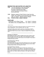### **BENEDICTION AND EASTER ACCLAMATION**

- ONE: You are witnesses to the resurrection; you are messengers of the gospel. Go forth to tell the good news, preaching peace by Jesus Christ he is Lord of all.
- ONE: Rejoice, people of God! Christ is risen from the dead! Go in peace to love and serve God. Christ is with you always. Alleluia! Christ is Risen!

**ALL: Christ is risen, indeed. Alleluia!**

### **POSTLUDE**

*Christ the Lord is Risen Today* Arr. Victor C. Johnson *The Strife is O'er, the Battle Done* Arr. Victor C. Johnson

Bulletin Notes:

The *Inclusive Church Prayer* comes from *Prayers for an Inclusive Church* by Steven Shakespeare, Church Publishing: New York, 2009.

*Teaching the Way of Jesus* section come from *Youth Ministry as Peace Education* by Elizabeth W. Corrie, Fortress Press: Minneapolis, 2021, and *Teaching the Way of Jesus* by Jack L. Seymour, Abingdon Press: Nashville, 2014.

#### *Questions for Reflection*

What difference does it make to believe that Jesus Christ is risen from the dead? How does your faith in the resurrection of Jesus Christ change the way you think about sin and death? How does it change the way you live?

#### *Household Prayer: Morning*

God of endless life,

in the light of this new day we see the dawning of your new creation. Give us wonder and delight to enjoy this day that you have made; through Jesus Christ, our living Lord. Amen.

#### *Household Prayer: Evening*

Stay with us, Lord, for it is evening and the day is almost over. Help us to know that you are with us— through the promise of your Word, in the sharing of a meal, and by the power of your Spirit that burns within our hearts. Bless and keep us, this night and always. Amen.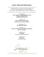# *Easter Memorial Dedications*

*We remember those who have died since Easter 2021 Lillian Connine, Paul Flores, George Hallahan, Rick Lanfear, Paul Laughlin, Rebecca Myers, Doug Yantz*

> In memory of **Gary Gray, Sr. and Elizabeth Gray and William and Doris Noel**  from Gary and Vicki Gray

In memory of **Roslyn and Frank M<sup>c</sup>Aleish**  from Karen and Vincent Mallozzi

> In memory of **The Obenauer Family**

In memory of **Paul J. Sternberg and Amanda B. Sternberg**  from Pat Sternberg

> In memory of **loved ones**  from Mary and Peter Williams

> > In memory of **loved ones**  from Betty Yeahl

Welma!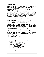#### **ANNOUNCEMENTS**

**NEXT WEEK** we will resume Coffee Hour after the worship service in the Founders' Room. The Deacons will be your hosts. Social distancing is recommended.

**POSITION AVAILABLE - Director of Inclusive Church Ministries (ICM).** The Director of ICM is primarily responsible for directing our strategic efforts in diversity, equity, inclusion and advocacy and to help implement these practices in all areas of church ministry. This is a parttime, ten hour per week position. For a job description and requirements, please contact Cheri in the church office (office@uccnowichny.org or 607-334-3434.) To apply, submit a resume and cover letter to the church office. Deadline to apply is April 30, 2022.

**TODAY IS THE LAST DAY** to drop off your donations of jelly for Helping Hands. A box is in the Nave hallway.

**COVID-19 TEST KITS** are available at the church office. If you need one, pick up a box on Sunday, or make arrangements with the church office 607-334-3434 or office@uccnorwichny.org.

**SCHOLARSHIPS AVAILABLE FOR MUSIC LESSONS** – If you need help affording music lessons, consider applying for a Music Scholarship. Applications are available from the church office. For more information, talk with Meena Conant, Music Committee Chair.

**#RAINBOWMONDAYS** - Join us on Mondays to show our support, love and affirmation of those in the LGBTQ+ community by posting a rainbow selfie on your social media account with #rainbowmondays.

**IF YOU NEED HELP** with something, please reach out to the church office, a Deacon or Pastor John. We're here to help each other.

#### **CALENDAR**

*The Chenango Muslim Community meets upstairs daily at 9:30 p.m. and Fridays at 1:30 p.m.* 

#### **SUNDAY, APRIL 17 - EASTER SUNDAY**

9:00 a.m. Sunday School, on Zoom 10:00 a.m. Worship, Nave or www.uccnorwichny.org/live-stream-2

#### **MONDAY APRIL 18**

*Church Office Closed for Easter Holiday* 9:00 a.m. AARP Tax Prep, Founders' Rm. 10:00 a.m. Prayer Circle on Zoom 1:30 p.m. K. Given Tutoring, upstairs 2:00 p.m. E. Fischer Lessons, upstairs 3:00 p.m. Tai Chi, Mayflower Rm.

#### **TUESDAY, APRIL 19**

1:00 p.m. Quilting Circle, Kitchen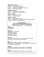#### **WEDNESDAY, APRIL 20**

10:00 a.m. Prayer Circle on Zoom 3:30 p.m. J. Handy Lessons, upstairs 6:00 p.m. Democratic Committee, Founders' Rm. 7:00 p.m. Zoom Choir Rehearsal

#### **THURSDAY, APRIL 21**

6:30 p.m. Quilting Circle, Founders' Rm.

6:30 p.m. Executive Council, Founders' Rm.

#### **FRIDAY, APRIL 22**

10:00 a.m. Prayer Circle, on Zoom

3:30 p.m. J. Handy, Lessons

#### **SUNDAY, APRIL 24**

9:00 a.m. Sunday School, on Zoom 10:00 a.m. Worship, Nave or www.uccnorwichny.org/live-stream-2 11:00 a.m. Coffee Hour, Founders' Rm.

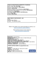**TODAY'S PARTICIPANTS IN MINISTRY OF SERVICE:** Interim Pastor: **Rev. John Steitz** Director of Music Ministries: **Mary Williams** Organist: **Jason Handy** Director of Children's/Youth Ministries: **Linda Oehme** Provisional Director Inclusive Church Ministries: **Brad Morrison**  Sunday Sexton: **Shea Breese** Live Stream: **Jennifer Mallozzi, Chris McSweeney** Usher: **Ericka Tyler** Liturgist: **Linda Oehme**

#### **NEXT WEEK'S PARTICIPANTS - 4/24**

Usher: Liturgist: Mary Williams Flowers: The Obenauer Family

Watch a live stream of our service Sundays at 10:00 a.m. at www.uccnorwichny.org/live-stream-2

> Past worship services can be viewed at www.uccnorwichny.org/sermons

**MINISTERS:** All the People **INTERIM PASTOR:** Rev. John Steitz, 215-820-1650 (cell) **MODERATOR:** John Kolb **CHAIR OF DEACONS:** Mary Williams **DIRECTOR OF MUSIC MINISTRIES:** Mary Williams **DIRECTOR OF CHILDREN'S/YOUTH MINISTRIES:** Linda Oehme **PARISH COORDINATOR:** Cheri Oakley **FINANCIAL ASSISTANT**: Jennifer Mallozzi

**CHURCH OFFICE HOURS - By appointment only.**

**CONTACT: Address:** 11 West Main St., Norwich NY 13815 **Telephone:** 607-334-3434 **E-mail:** office@uccnorwichny.org **Web site:** www.uccnorwichny.org

facebook.